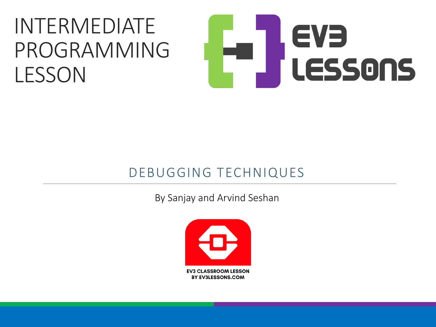#### INTERMEDIATE PROGRAMMING LESSON

# EVE LESSONS

#### DEBUGGING TECHNIQUES

By Sanjay and Arvind Seshan

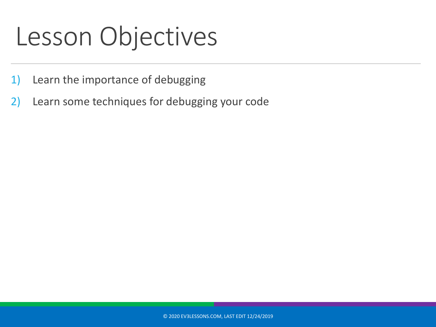#### Lesson Objectives

- 1) Learn the importance of debugging
- 2) Learn some techniques for debugging your code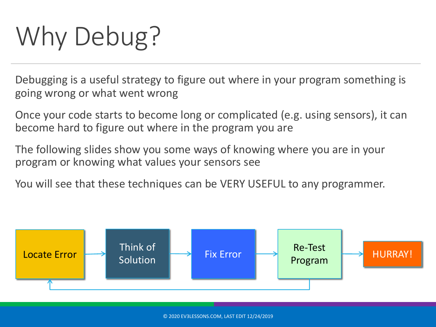## Why Debug?

Debugging is a useful strategy to figure out where in your program something is going wrong or what went wrong

Once your code starts to become long or complicated (e.g. using sensors), it can become hard to figure out where in the program you are

The following slides show you some ways of knowing where you are in your program or knowing what values your sensors see

You will see that these techniques can be VERY USEFUL to any programmer.

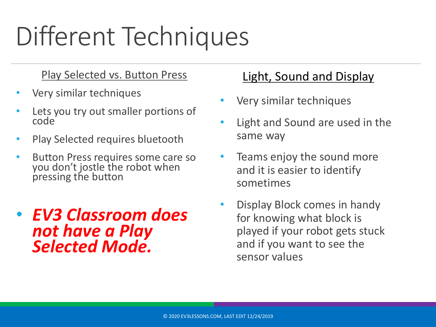### Different Techniques

#### Play Selected vs. Button Press

- Very similar techniques
- Lets you try out smaller portions of code
- Play Selected requires bluetooth
- Button Press requires some care so you don't jostle the robot when pressing the button
- *EV3 Classroom does not have a Play Selected Mode.*

#### Light, Sound and Display

- Very similar techniques
- Light and Sound are used in the same way
- Teams enjoy the sound more and it is easier to identify sometimes
- Display Block comes in handy for knowing what block is played if your robot gets stuck and if you want to see the sensor values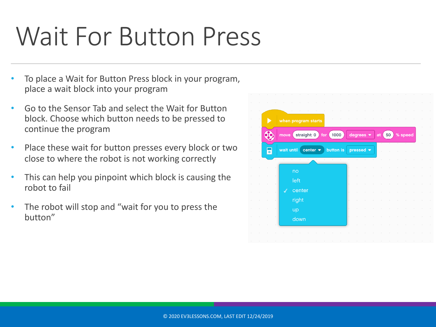#### Wait For Button Press

- To place a Wait for Button Press block in your program, place a wait block into your program
- Go to the Sensor Tab and select the Wait for Button block. Choose which button needs to be pressed to continue the program
- Place these wait for button presses every block or two close to where the robot is not working correctly
- This can help you pinpoint which block is causing the robot to fail
- The robot will stop and "wait for you to press the button"

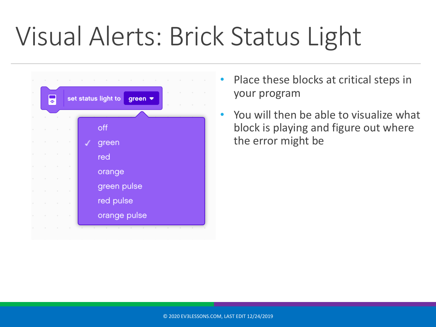### Visual Alerts: Brick Status Light



- Place these blocks at critical steps in your program
- You will then be able to visualize what block is playing and figure out where the error might be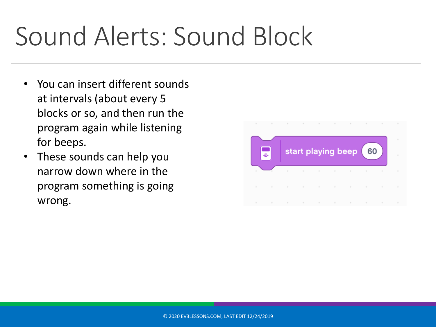#### Sound Alerts: Sound Block

- You can insert different sounds at intervals (about every 5 blocks or so, and then run the program again while listening for beeps.
- These sounds can help you narrow down where in the program something is going wrong.

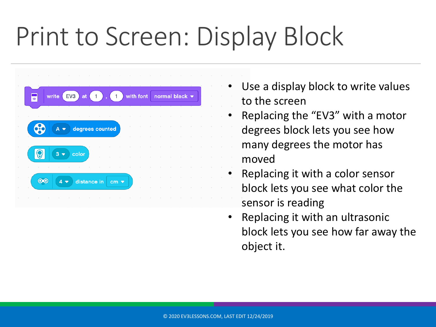### Print to Screen: Display Block



- Use a display block to write values to the screen
- Replacing the "EV3" with a motor degrees block lets you see how many degrees the motor has moved
- Replacing it with a color sensor block lets you see what color the sensor is reading
- Replacing it with an ultrasonic block lets you see how far away the object it.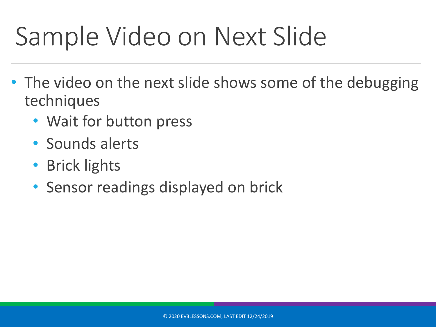### Sample Video on Next Slide

- The video on the next slide shows some of the debugging techniques
	- Wait for button press
	- Sounds alerts
	- Brick lights
	- Sensor readings displayed on brick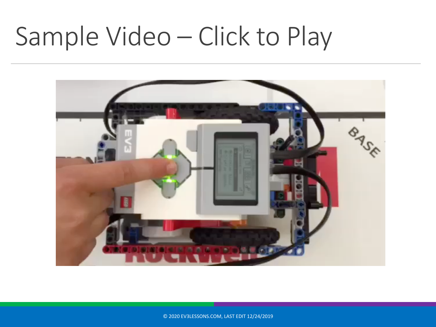#### Sample Video – Click to Play



© 2020 EV3LESSONS.COM, LAST EDIT 12/24/2019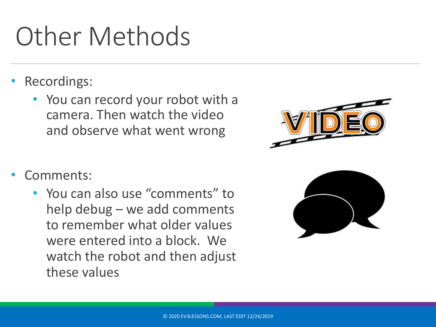#### Other Methods

- Recordings:
	- You can record your robot with a camera. Then watch the video and observe what went wrong
- Comments:
	- You can also use "comments" to help debug – we add comments to remember what older values were entered into a block. We watch the robot and then adjust these values